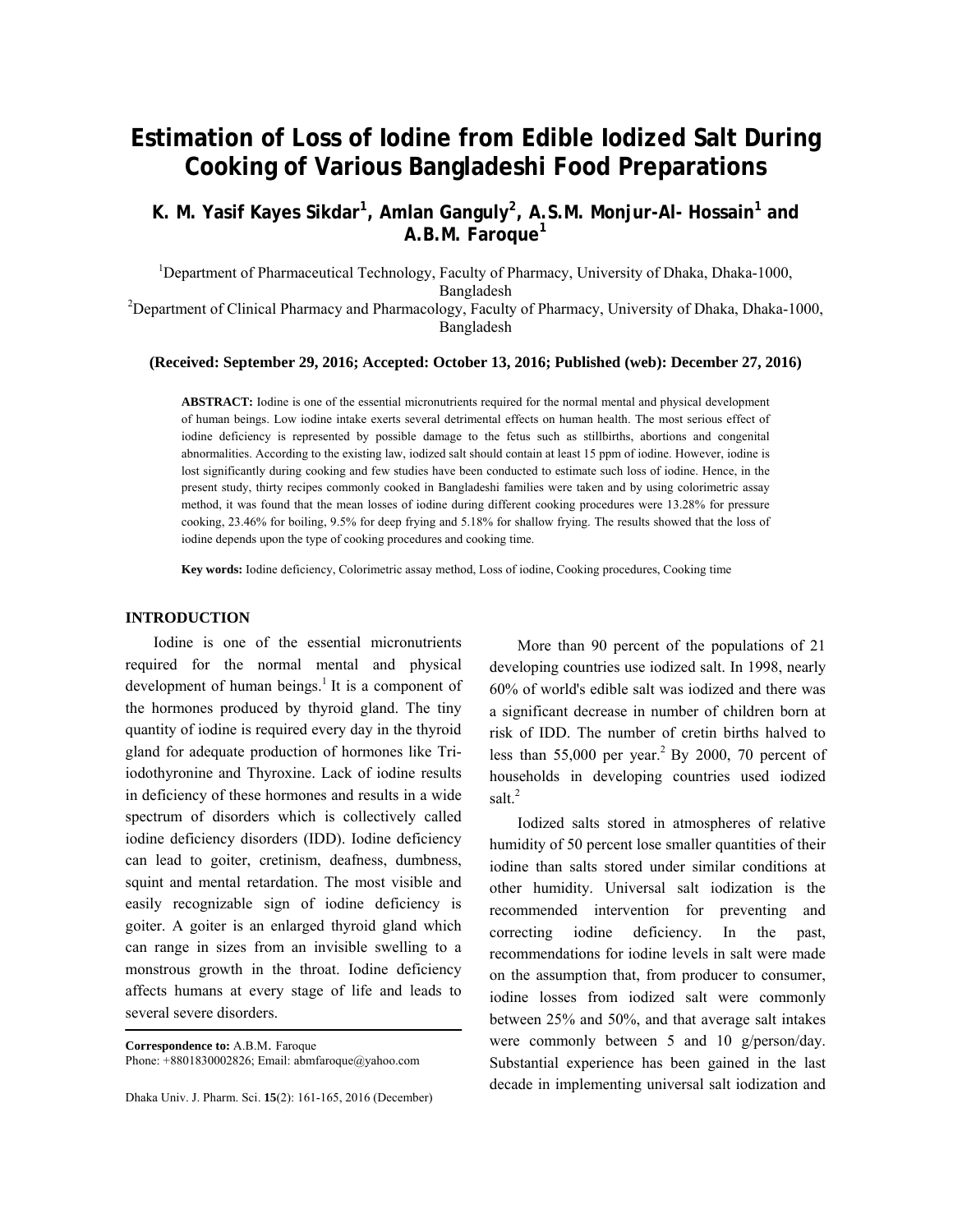# **Estimation of Loss of Iodine from Edible Iodized Salt During Cooking of Various Bangladeshi Food Preparations**

K. M. Yasif Kayes Sikdar<sup>1</sup>, Amlan Ganguly<sup>2</sup>, A.S.M. Monjur-Al- Hossain<sup>1</sup> and **A.B.M. Faroque<sup>1</sup>**

<sup>1</sup>Department of Pharmaceutical Technology, Faculty of Pharmacy, University of Dhaka, Dhaka-1000, Bangladesh<br><sup>2</sup>Department of Clinical Pharmacy and Pharmacology, Faculty of Pharmacy, University of Dhaka, Dhaka-1000,

Bangladesh

### **(Received: September 29, 2016; Accepted: October 13, 2016; Published (web): December 27, 2016)**

**ABSTRACT:** Iodine is one of the essential micronutrients required for the normal mental and physical development of human beings. Low iodine intake exerts several detrimental effects on human health. The most serious effect of iodine deficiency is represented by possible damage to the fetus such as stillbirths, abortions and congenital abnormalities. According to the existing law, iodized salt should contain at least 15 ppm of iodine. However, iodine is lost significantly during cooking and few studies have been conducted to estimate such loss of iodine. Hence, in the present study, thirty recipes commonly cooked in Bangladeshi families were taken and by using colorimetric assay method, it was found that the mean losses of iodine during different cooking procedures were 13.28% for pressure cooking, 23.46% for boiling, 9.5% for deep frying and 5.18% for shallow frying. The results showed that the loss of iodine depends upon the type of cooking procedures and cooking time.

**Key words:** Iodine deficiency, Colorimetric assay method, Loss of iodine, Cooking procedures, Cooking time

# **INTRODUCTION**

 Iodine is one of the essential micronutrients required for the normal mental and physical development of human beings.<sup>1</sup> It is a component of the hormones produced by thyroid gland. The tiny quantity of iodine is required every day in the thyroid gland for adequate production of hormones like Triiodothyronine and Thyroxine. Lack of iodine results in deficiency of these hormones and results in a wide spectrum of disorders which is collectively called iodine deficiency disorders (IDD). Iodine deficiency can lead to goiter, cretinism, deafness, dumbness, squint and mental retardation. The most visible and easily recognizable sign of iodine deficiency is goiter. A goiter is an enlarged thyroid gland which can range in sizes from an invisible swelling to a monstrous growth in the throat. Iodine deficiency affects humans at every stage of life and leads to several severe disorders.

**Correspondence to:** A.B.M. Faroque Phone: +8801830002826; Email: abmfaroque@yahoo.com

Dhaka Univ. J. Pharm. Sci. **15**(2): 161-165, 2016 (December)

 More than 90 percent of the populations of 21 developing countries use iodized salt. In 1998, nearly 60% of world's edible salt was iodized and there was a significant decrease in number of children born at risk of IDD. The number of cretin births halved to less than 55,000 per year.<sup>2</sup> By 2000, 70 percent of households in developing countries used iodized salt.<sup>2</sup>

 Iodized salts stored in atmospheres of relative humidity of 50 percent lose smaller quantities of their iodine than salts stored under similar conditions at other humidity. Universal salt iodization is the recommended intervention for preventing and correcting iodine deficiency. In the past, recommendations for iodine levels in salt were made on the assumption that, from producer to consumer, iodine losses from iodized salt were commonly between 25% and 50%, and that average salt intakes were commonly between 5 and 10 g/person/day. Substantial experience has been gained in the last decade in implementing universal salt iodization and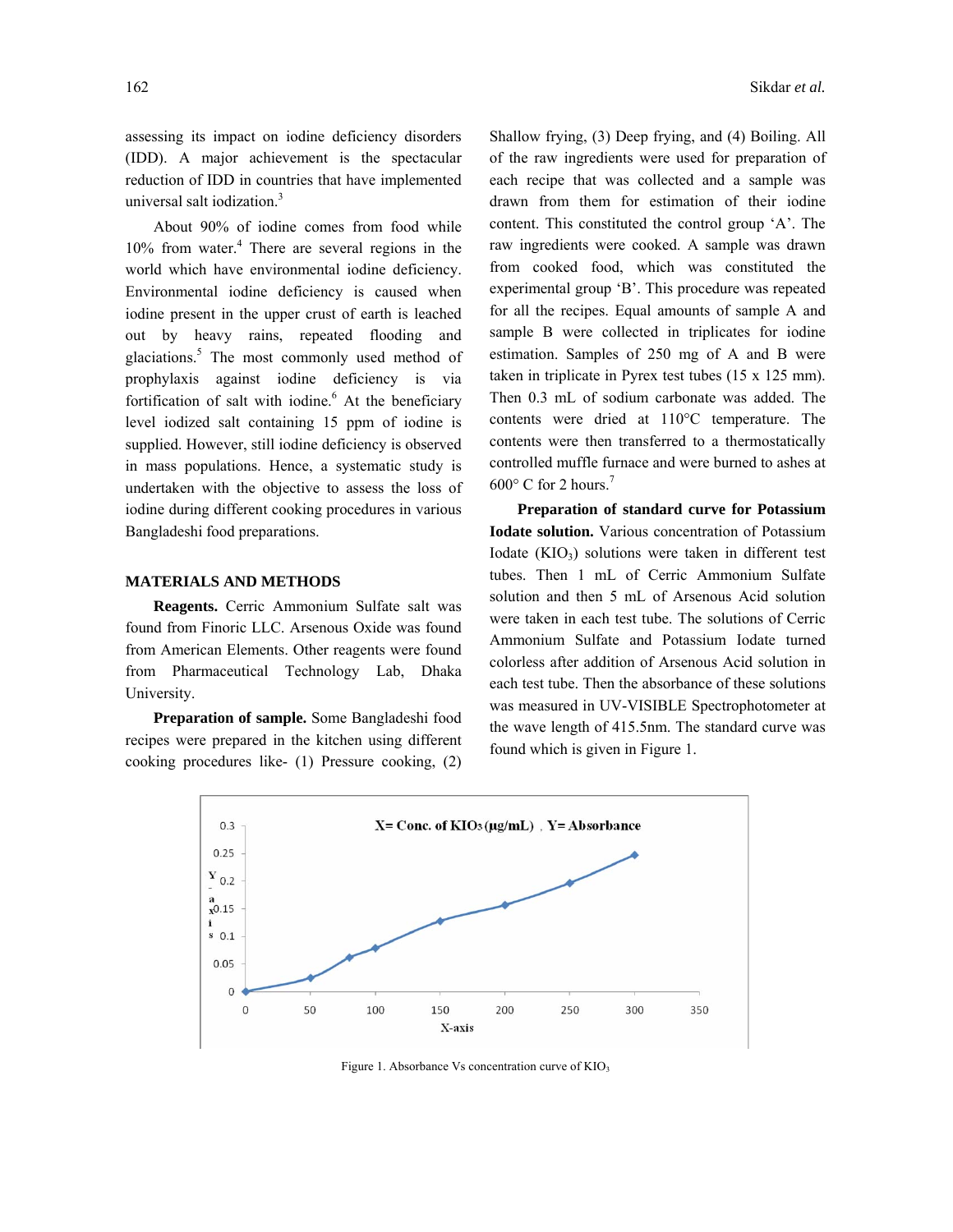assessing its impact on iodine deficiency disorders (IDD). A major achievement is the spectacular reduction of IDD in countries that have implemented universal salt iodization.<sup>3</sup>

 About 90% of iodine comes from food while 10% from water.<sup>4</sup> There are several regions in the world which have environmental iodine deficiency. Environmental iodine deficiency is caused when iodine present in the upper crust of earth is leached out by heavy rains, repeated flooding and glaciations.<sup>5</sup> The most commonly used method of prophylaxis against iodine deficiency is via fortification of salt with iodine.<sup>6</sup> At the beneficiary level iodized salt containing 15 ppm of iodine is supplied. However, still iodine deficiency is observed in mass populations. Hence, a systematic study is undertaken with the objective to assess the loss of iodine during different cooking procedures in various Bangladeshi food preparations.

# **MATERIALS AND METHODS**

 **Reagents.** Cerric Ammonium Sulfate salt was found from Finoric LLC. Arsenous Oxide was found from American Elements. Other reagents were found from Pharmaceutical Technology Lab, Dhaka University.

**Preparation of sample.** Some Bangladeshi food recipes were prepared in the kitchen using different cooking procedures like- (1) Pressure cooking, (2) Shallow frying, (3) Deep frying, and (4) Boiling. All of the raw ingredients were used for preparation of each recipe that was collected and a sample was drawn from them for estimation of their iodine content. This constituted the control group 'A'. The raw ingredients were cooked. A sample was drawn from cooked food, which was constituted the experimental group 'B'. This procedure was repeated for all the recipes. Equal amounts of sample A and sample B were collected in triplicates for iodine estimation. Samples of 250 mg of A and B were taken in triplicate in Pyrex test tubes (15 x 125 mm). Then 0.3 mL of sodium carbonate was added. The contents were dried at 110°C temperature. The contents were then transferred to a thermostatically controlled muffle furnace and were burned to ashes at

**Preparation of standard curve for Potassium Iodate solution.** Various concentration of Potassium Iodate  $(KIO_3)$  solutions were taken in different test tubes. Then 1 mL of Cerric Ammonium Sulfate solution and then 5 mL of Arsenous Acid solution were taken in each test tube. The solutions of Cerric Ammonium Sulfate and Potassium Iodate turned colorless after addition of Arsenous Acid solution in each test tube. Then the absorbance of these solutions was measured in UV-VISIBLE Spectrophotometer at the wave length of 415.5nm. The standard curve was found which is given in Figure 1.

 $600^{\circ}$  C for 2 hours.<sup>7</sup>



Figure 1. Absorbance Vs concentration curve of  $KIO<sub>3</sub>$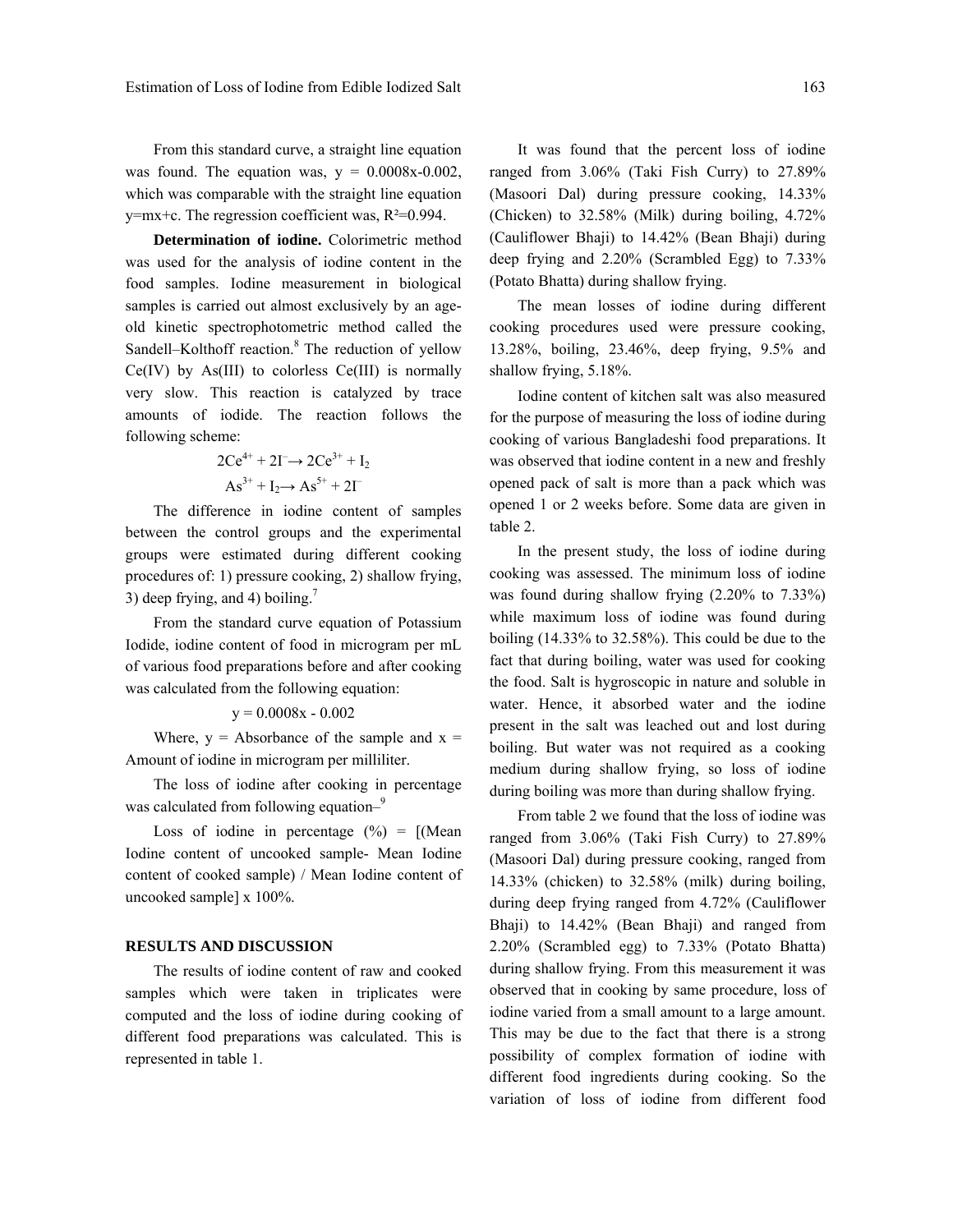From this standard curve, a straight line equation was found. The equation was,  $y = 0.0008x - 0.002$ , which was comparable with the straight line equation  $y=mx+c$ . The regression coefficient was,  $R^2=0.994$ .

**Determination of iodine.** Colorimetric method was used for the analysis of iodine content in the food samples. Iodine measurement in biological samples is carried out almost exclusively by an ageold kinetic spectrophotometric method called the Sandell–Kolthoff reaction.<sup>8</sup> The reduction of yellow  $Ce(IV)$  by As(III) to colorless  $Ce(III)$  is normally very slow. This reaction is catalyzed by trace amounts of iodide. The reaction follows the following scheme:

$$
2Ce^{4+} + 2I^- \rightarrow 2Ce^{3+} + I_2
$$

$$
As^{3+} + I_2 \rightarrow As^{5+} + 2I^-
$$

 The difference in iodine content of samples between the control groups and the experimental groups were estimated during different cooking procedures of: 1) pressure cooking, 2) shallow frying, 3) deep frying, and 4) boiling.<sup>7</sup>

 From the standard curve equation of Potassium Iodide, iodine content of food in microgram per mL of various food preparations before and after cooking was calculated from the following equation:

 $y = 0.0008x - 0.002$ 

Where,  $y =$  Absorbance of the sample and  $x =$ Amount of iodine in microgram per milliliter.

 The loss of iodine after cooking in percentage was calculated from following equation–<sup>9</sup>

Loss of iodine in percentage  $(\%) = [(\text{Mean})$ Iodine content of uncooked sample- Mean Iodine content of cooked sample) / Mean Iodine content of uncooked sample] x 100%.

#### **RESULTS AND DISCUSSION**

 The results of iodine content of raw and cooked samples which were taken in triplicates were computed and the loss of iodine during cooking of different food preparations was calculated. This is represented in table 1.

 It was found that the percent loss of iodine ranged from 3.06% (Taki Fish Curry) to 27.89% (Masoori Dal) during pressure cooking, 14.33% (Chicken) to 32.58% (Milk) during boiling, 4.72% (Cauliflower Bhaji) to 14.42% (Bean Bhaji) during deep frying and 2.20% (Scrambled Egg) to 7.33% (Potato Bhatta) during shallow frying.

 The mean losses of iodine during different cooking procedures used were pressure cooking, 13.28%, boiling, 23.46%, deep frying, 9.5% and shallow frying, 5.18%.

 Iodine content of kitchen salt was also measured for the purpose of measuring the loss of iodine during cooking of various Bangladeshi food preparations. It was observed that iodine content in a new and freshly opened pack of salt is more than a pack which was opened 1 or 2 weeks before. Some data are given in table 2.

 In the present study, the loss of iodine during cooking was assessed. The minimum loss of iodine was found during shallow frying (2.20% to 7.33%) while maximum loss of iodine was found during boiling (14.33% to 32.58%). This could be due to the fact that during boiling, water was used for cooking the food. Salt is hygroscopic in nature and soluble in water. Hence, it absorbed water and the iodine present in the salt was leached out and lost during boiling. But water was not required as a cooking medium during shallow frying, so loss of iodine during boiling was more than during shallow frying.

 From table 2 we found that the loss of iodine was ranged from 3.06% (Taki Fish Curry) to 27.89% (Masoori Dal) during pressure cooking, ranged from 14.33% (chicken) to 32.58% (milk) during boiling, during deep frying ranged from 4.72% (Cauliflower Bhaji) to 14.42% (Bean Bhaji) and ranged from 2.20% (Scrambled egg) to 7.33% (Potato Bhatta) during shallow frying. From this measurement it was observed that in cooking by same procedure, loss of iodine varied from a small amount to a large amount. This may be due to the fact that there is a strong possibility of complex formation of iodine with different food ingredients during cooking. So the variation of loss of iodine from different food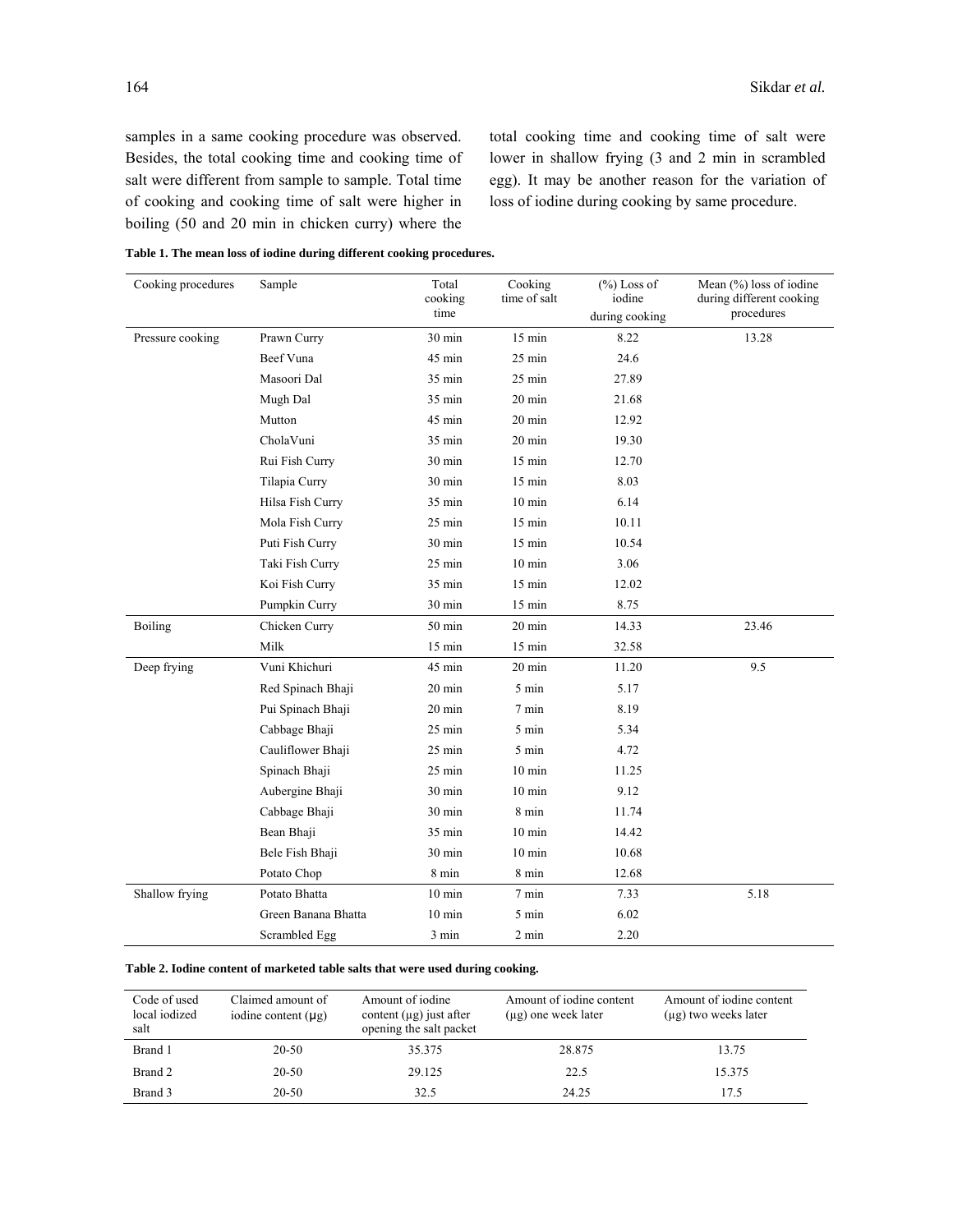samples in a same cooking procedure was observed. Besides, the total cooking time and cooking time of salt were different from sample to sample. Total time of cooking and cooking time of salt were higher in boiling (50 and 20 min in chicken curry) where the

total cooking time and cooking time of salt were lower in shallow frying (3 and 2 min in scrambled egg). It may be another reason for the variation of loss of iodine during cooking by same procedure.

**Table 1. The mean loss of iodine during different cooking procedures.** 

| Cooking procedures | Sample              | Total<br>cooking<br>time | Cooking<br>time of salt | $(\%)$ Loss of<br>iodine<br>during cooking | Mean $(\% )$ loss of iodine<br>during different cooking<br>procedures |
|--------------------|---------------------|--------------------------|-------------------------|--------------------------------------------|-----------------------------------------------------------------------|
| Pressure cooking   | Prawn Curry         | 30 min                   | 15 min                  | 8.22                                       | 13.28                                                                 |
|                    | Beef Vuna           | 45 min                   | 25 min                  | 24.6                                       |                                                                       |
|                    | Masoori Dal         | 35 min                   | $25$ min                | 27.89                                      |                                                                       |
|                    | Mugh Dal            | 35 min                   | $20 \text{ min}$        | 21.68                                      |                                                                       |
|                    | Mutton              | 45 min                   | $20 \text{ min}$        | 12.92                                      |                                                                       |
|                    | CholaVuni           | 35 min                   | $20 \text{ min}$        | 19.30                                      |                                                                       |
|                    | Rui Fish Curry      | 30 min                   | 15 min                  | 12.70                                      |                                                                       |
|                    | Tilapia Curry       | 30 min                   | $15 \text{ min}$        | 8.03                                       |                                                                       |
|                    | Hilsa Fish Curry    | 35 min                   | $10 \text{ min}$        | 6.14                                       |                                                                       |
|                    | Mola Fish Curry     | 25 min                   | $15 \text{ min}$        | 10.11                                      |                                                                       |
|                    | Puti Fish Curry     | 30 min                   | $15$ min                | 10.54                                      |                                                                       |
|                    | Taki Fish Curry     | $25 \text{ min}$         | $10 \text{ min}$        | 3.06                                       |                                                                       |
|                    | Koi Fish Curry      | 35 min                   | $15 \text{ min}$        | 12.02                                      |                                                                       |
|                    | Pumpkin Curry       | 30 min                   | 15 min                  | 8.75                                       |                                                                       |
| <b>Boiling</b>     | Chicken Curry       | $50$ min                 | $20 \text{ min}$        | 14.33                                      | 23.46                                                                 |
|                    | Milk                | 15 min                   | $15$ min                | 32.58                                      |                                                                       |
| Deep frying        | Vuni Khichuri       | 45 min                   | 20 min                  | 11.20                                      | 9.5                                                                   |
|                    | Red Spinach Bhaji   | 20 min                   | 5 min                   | 5.17                                       |                                                                       |
|                    | Pui Spinach Bhaji   | $20 \text{ min}$         | 7 min                   | 8.19                                       |                                                                       |
|                    | Cabbage Bhaji       | $25 \text{ min}$         | 5 min                   | 5.34                                       |                                                                       |
|                    | Cauliflower Bhaji   | 25 min                   | 5 min                   | 4.72                                       |                                                                       |
|                    | Spinach Bhaji       | $25$ min                 | $10 \text{ min}$        | 11.25                                      |                                                                       |
|                    | Aubergine Bhaji     | 30 min                   | $10 \text{ min}$        | 9.12                                       |                                                                       |
|                    | Cabbage Bhaji       | 30 min                   | 8 min                   | 11.74                                      |                                                                       |
|                    | Bean Bhaji          | 35 min                   | $10 \text{ min}$        | 14.42                                      |                                                                       |
|                    | Bele Fish Bhaji     | 30 min                   | $10 \text{ min}$        | 10.68                                      |                                                                       |
|                    | Potato Chop         | 8 min                    | 8 min                   | 12.68                                      |                                                                       |
| Shallow frying     | Potato Bhatta       | $10 \text{ min}$         | 7 min                   | 7.33                                       | 5.18                                                                  |
|                    | Green Banana Bhatta | $10 \text{ min}$         | 5 min                   | 6.02                                       |                                                                       |
|                    | Scrambled Egg       | 3 min                    | 2 min                   | 2.20                                       |                                                                       |

#### **Table 2. Iodine content of marketed table salts that were used during cooking.**

| Code of used<br>local iodized<br>salt | Claimed amount of<br>iodine content $(\mu g)$ | Amount of iodine<br>content $(\mu g)$ just after<br>opening the salt packet | Amount of jodine content<br>$(\mu g)$ one week later | Amount of jodine content<br>$(\mu g)$ two weeks later |
|---------------------------------------|-----------------------------------------------|-----------------------------------------------------------------------------|------------------------------------------------------|-------------------------------------------------------|
| Brand 1                               | 20-50                                         | 35.375                                                                      | 28.875                                               | 13.75                                                 |
| Brand 2                               | 20-50                                         | 29.125                                                                      | 22.5                                                 | 15.375                                                |
| Brand 3                               | $20 - 50$                                     | 32.5                                                                        | 24.25                                                | 175                                                   |